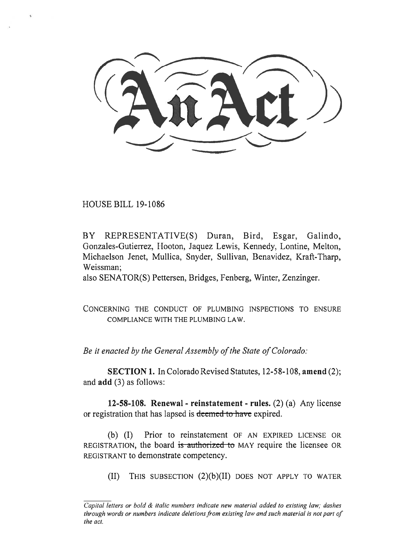HOUSE BILL 19-1086

BY REPRESENTATIVE(S) Duran, Bird, Esgar, Galindo, Gonzales-Gutierrez, Hooton, Jaquez Lewis, Kennedy, Lontine, Melton, Michaelson Jenet, Mullica, Snyder, Sullivan, Benavidez, Kraft-Tharp, Weissman;

also SENATOR(S) Pettersen, Bridges, Fenberg, Winter, Zenzinger.

CONCERNING THE CONDUCT OF PLUMBING INSPECTIONS TO ENSURE COMPLIANCE WITH THE PLUMBING LAW.

*Be it enacted by the General Assembly of the State of Colorado:* 

**SECTION 1.** In Colorado Revised Statutes, 12-58-108, **amend** (2); and **add** (3) as follows:

**12-58-108. Renewal - reinstatement - rules.** (2) (a) Any license or registration that has lapsed is deemed to have expired.

(b) (I) Prior to reinstatement OF AN EXPIRED LICENSE OR REGISTRATION, the board is authorized to MAY require the licensee OR REGISTRANT to demonstrate competency.

(II) THIS SUBSECTION (2)(b)(II) DOES NOT APPLY TO WATER

*Capital letters or bold & italic numbers indicate new material added to existing law; dashes through words or numbers indicate deletions from existing law and such material is not part of the act.*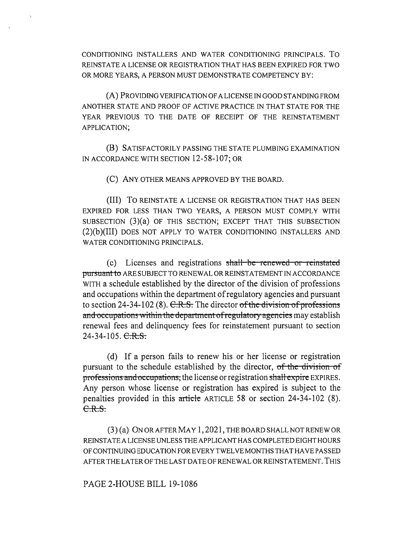CONDITIONING INSTALLERS AND WATER CONDITIONING PRINCIPALS. To REINSTATE A LICENSE OR REGISTRATION THAT HAS BEEN EXPIRED FOR TWO OR MORE YEARS, A PERSON MUST DEMONSTRATE COMPETENCY BY:

(A) PROVIDING VERIFICATION OF A LICENSE IN GOOD STANDING FROM ANOTHER STATE AND PROOF OF ACTIVE PRACTICE IN THAT STATE FOR THE YEAR PREVIOUS TO THE DATE OF RECEIPT OF THE REINSTATEMENT APPLICATION;

(B) SATISFACTORILY PASSING THE STATE PLUMBING EXAMINATION IN ACCORDANCE WITH SECTION 12-58-107; OR

(C) ANY OTHER MEANS APPROVED BY THE BOARD.

(III) To REINSTATE A LICENSE OR REGISTRATION THAT HAS BEEN EXPIRED FOR LESS THAN TWO YEARS, A PERSON MUST COMPLY WITH SUBSECTION (3)(a) OF THIS SECTION; EXCEPT THAT THIS SUBSECTION (2)(b)(III) DOES NOT APPLY TO WATER CONDITIONING INSTALLERS AND WATER CONDITIONING PRINCIPALS.

(c) Licenses and registrations shall be renewed or reinstated pursuant to ARE SUBJECT TO RENEWAL OR REINSTATEMENT IN ACCORDANCE WITH a schedule established by the director of the division of professions and occupations within the department of regulatory agencies and pursuant to section  $24-34-102$  (8).  $C.R.S.$  The director of the division of professions and occupations within the department of regulatory agencies may establish renewal fees and delinquency fees for reinstatement pursuant to section  $24-34-105. \text{ C.R.S.}$ 

(d) If a person fails to renew his or her license or registration pursuant to the schedule established by the director,  $of$  the division of professions and occupations; the license or registration shall expire EXPIRES. Any person whose license or registration has expired is subject to the penalties provided in this article ARTICLE 58 or section 24-34-102 (8).  $C.R.S.$ 

(3) (a) ON OR AFTER MAY 1, 2021, THE BOARD SHALL NOT RENEW OR REINSTATE A LICENSE UNLESS THE APPLICANT HAS COMPLETED EIGHT HOURS OF CONTINUING EDUCATION FOR EVERY TWELVE MONTHS THAT HAVE PASSED AFTER THE LATER OF THE LAST DATE OF RENEWAL OR REINSTATEMENT. THIS

PAGE 2-HOUSE BILL 19-1086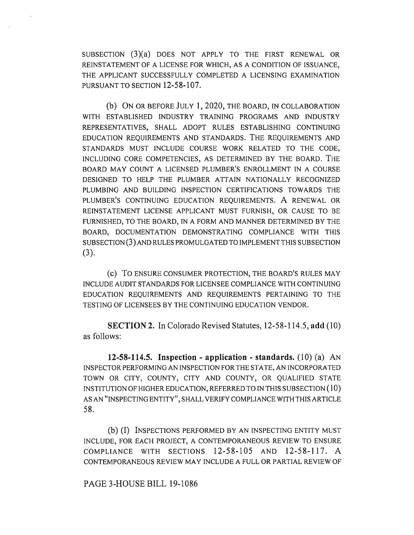SUBSECTION (3)(a) DOES NOT APPLY TO THE FIRST RENEWAL OR REINSTATEMENT OF A LICENSE FOR WHICH, AS A CONDITION OF ISSUANCE, THE APPLICANT SUCCESSFULLY COMPLETED A LICENSING EXAMINATION PURSUANT TO SECTION 12-58-107.

(b) ON OR BEFORE JULY 1, 2020, THE BOARD, IN COLLABORATION WITH ESTABLISHED INDUSTRY TRAINING PROGRAMS AND INDUSTRY REPRESENTATIVES, SHALL ADOPT RULES ESTABLISHING CONTINUING EDUCATION REQUIREMENTS AND STANDARDS. THE REQUIREMENTS AND STANDARDS MUST INCLUDE COURSE WORK RELATED TO THE CODE, INCLUDING CORE COMPETENCIES, AS DETERMINED BY THE BOARD. THE BOARD MAY COUNT A LICENSED PLUMBER'S ENROLLMENT IN A COURSE DESIGNED TO HELP THE PLUMBER ATTAIN NATIONALLY RECOGNIZED PLUMBING AND BUILDING INSPECTION CERTIFICATIONS TOWARDS THE PLUMBER'S CONTINUING EDUCATION REQUIREMENTS. A RENEWAL OR REINSTATEMENT LICENSE APPLICANT MUST FURNISH, OR CAUSE TO BE FURNISHED, TO THE BOARD, IN A FORM AND MANNER DETERMINED BY THE BOARD, DOCUMENTATION DEMONSTRATING COMPLIANCE WITH THIS SUBSECTION (3) AND RULES PROMULGATED TO IMPLEMENT THIS SUBSECTION (3).

(c) To ENSURE CONSUMER PROTECTION, THE BOARD'S RULES MAY INCLUDE AUDIT STANDARDS FOR LICENSEE COMPLIANCE WITH CONTINUING EDUCATION REQUIREMENTS AND REQUIREMENTS PERTAINING TO THE TESTING OF LICENSEES BY THE CONTINUING EDUCATION VENDOR.

**SECTION 2.** In Colorado Revised Statutes, 12-58-114.5, **add** (10) as follows:

**12-58-114.5. Inspection - application - standards.** (10) (a) AN INSPECTOR PERFORMING AN INSPECTION FOR THE STATE, AN INCORPORATED TOWN OR CITY, COUNTY, CITY AND COUNTY, OR QUALIFIED STATE INSTITUTION OF HIGHER EDUCATION, REFERRED TO IN THIS SUBSECTION (10) AS AN "INSPECTING ENTITY", SHALL VERIFY COMPLIANCE WITH THIS ARTICLE 58.

(b) (I) INSPECTIONS PERFORMED BY AN INSPECTING ENTITY MUST INCLUDE, FOR EACH PROJECT, A CONTEMPORANEOUS REVIEW TO ENSURE COMPLIANCE WITH SECTIONS 12-58-105 AND 12-58-117. A CONTEMPORANEOUS REVIEW MAY INCLUDE A FULL OR PARTIAL REVIEW OF

PAGE 3-HOUSE BILL 19-1086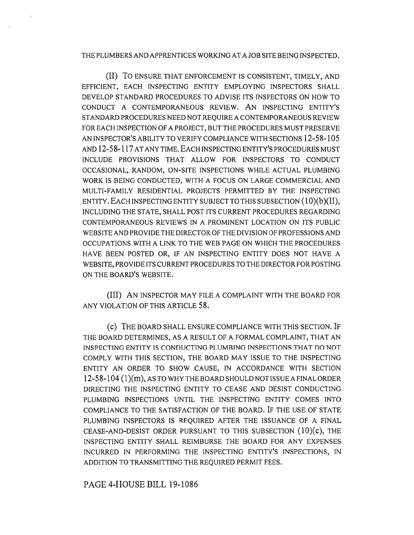## THE PLUMBERS AND APPRENTICES WORKING AT A JOB SITE BEING INSPECTED.

(II) To ENSURE THAT ENFORCEMENT IS CONSISTENT, TIMELY, AND EFFICIENT, EACH INSPECTING ENTITY EMPLOYING INSPECTORS SHALL DEVELOP STANDARD PROCEDURES TO ADVISE ITS INSPECTORS ON HOW TO CONDUCT A CONTEMPORANEOUS REVIEW. ANINSPECTING ENTITY'S STANDARD PROCEDURES NEED NOT REQUIRE A CONTEMPORANEOUS REVIEW FOR EACH INSPECTION OF A PROJECT, BUT THE PROCEDURES MUST PRESERVE AN INSPECTOR'S ABILITY TO VERIFY COMPLIANCE WITH SECTIONS 12-58-105 AND 12-58-117 AT ANY TIME. EACH INSPECTING ENTITY'S PROCEDURES MUST INCLUDE PROVISIONS THAT ALLOW FOR INSPECTORS TO CONDUCT OCCASIONAL, RANDOM, ON-SITE INSPECTIONS WHILE ACTUAL PLUMBING WORK IS BEING CONDUCTED, WITH A FOCUS ON LARGE COMMERCIAL AND MULTI-FAMILY RESIDENTIAL PROJECTS PERMITTED BY THE INSPECTING ENTITY. EACH INSPECTING ENTITY SUBJECT TO THIS SUBSECTION (10)(b)(II), INCLUDING THE STATE, SHALL POST ITS CURRENT PROCEDURES REGARDING CONTEMPORANEOUS REVIEWS IN A PROMINENT LOCATION ON ITS PUBLIC WEBSITE AND PROVIDE THE DIRECTOR OF THE DIVISION OF PROFESSIONS AND OCCUPATIONS WITH A LINK TO THE WEB PAGE ON WHICH THE PROCEDURES HAVE BEEN POSTED OR, IF AN INSPECTING ENTITY DOES NOT HAVE A WEBSITE, PROVIDE ITS CURRENT PROCEDURES TO THE DIRECTOR FOR POSTING ON THE BOARD'S WEBSITE.

(III) AN INSPECTOR MAY FILE A COMPLAINT WITH THE BOARD FOR ANY VIOLATION OF THIS ARTICLE 58.

(C) THE BOARD SHALL ENSURE COMPLIANCE WITH THIS SECTION. IF THE BOARD DETERMINES, AS A RESULT OF A FORMAL COMPLAINT, THAT AN INSPECTING ENTITY IS CONDUCTING PLUMBING INSPECTIONS THAT DO NOT COMPLY WITH THIS SECTION, THE BOARD MAY ISSUE TO THE INSPECTING ENTITY AN ORDER TO SHOW CAUSE, IN ACCORDANCE WITH SECTION 12-58-104 (1)(m), AS TO WHY THE BOARD SHOULD NOT ISSUE A FINAL ORDER DIRECTING THE INSPECTING ENTITY TO CEASE AND DESIST CONDUCTING PLUMBING INSPECTIONS UNTIL THE INSPECTING ENTITY COMES INTO COMPLIANCE TO THE SATISFACTION OF THE BOARD. IF THE USE OF STATE PLUMBING INSPECTORS IS REQUIRED AFTER THE ISSUANCE OF A FINAL CEASE-AND-DESIST ORDER PURSUANT TO THIS SUBSECTION (10)(C), THE INSPECTING ENTITY SHALL REIMBURSE THE BOARD FOR ANY EXPENSES INCURRED IN PERFORMING THE INSPECTING ENTITY'S INSPECTIONS, IN ADDITION TO TRANSMITTING THE REQUIRED PERMIT FEES.

PAGE 4-HOUSE BILL 19-1086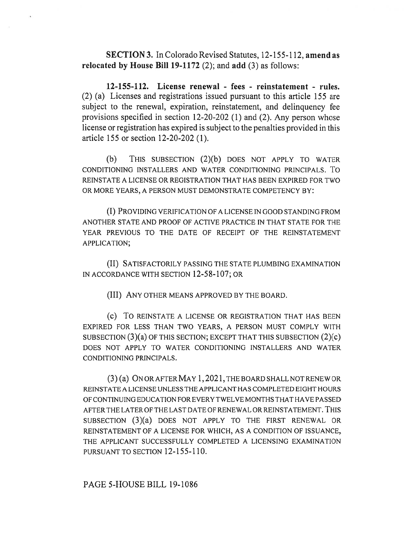**SECTION 3.** In Colorado Revised Statutes, 12-155-112, **amend as relocated by House Bill 19-1172** (2); and **add** (3) as follows:

**12-155-112. License renewal - fees - reinstatement - rules.**  (2) (a) Licenses and registrations issued pursuant to this article 155 are subject to the renewal, expiration, reinstatement, and delinquency fee provisions specified in section 12-20-202 (1) and (2). Any person whose license or registration has expired is subject to the penalties provided in this article 155 or section 12-20-202 (1).

(b) THIS SUBSECTION (2)(b) DOES NOT APPLY TO WATER CONDITIONING INSTALLERS AND WATER CONDITIONING PRINCIPALS. To REINSTATE A LICENSE OR REGISTRATION THAT HAS BEEN EXPIRED FOR TWO OR MORE YEARS, A PERSON MUST DEMONSTRATE COMPETENCY BY:

(I) PROVIDING VERIFICATION OF A LICENSE IN GOOD STANDING FROM ANOTHER STATE AND PROOF OF ACTIVE PRACTICE IN THAT STATE FOR THE YEAR PREVIOUS TO THE DATE OF RECEIPT OF THE REINSTATEMENT APPLICATION;

(II) SATISFACTORILY PASSING THE STATE PLUMBING EXAMINATION IN ACCORDANCE WITH SECTION 12-58-107; OR

(III) ANY OTHER MEANS APPROVED BY THE BOARD.

(c) To REINSTATE A LICENSE OR REGISTRATION THAT HAS BEEN EXPIRED FOR LESS THAN TWO YEARS, A PERSON MUST COMPLY WITH SUBSECTION  $(3)(a)$  OF THIS SECTION; EXCEPT THAT THIS SUBSECTION  $(2)(c)$ DOES NOT APPLY TO WATER CONDITIONING INSTALLERS AND WATER CONDITIONING PRINCIPALS.

(3) (a) ON OR AFTER MAY 1, 2021, THE BOARD SHALL NOT RENEW OR REINSTATE A LICENSE UNLESS THE APPLICANT HAS COMPLETED EIGHT HOURS OF CONTINUING EDUCATION FOR EVERY TWELVE MONTHS TILT HAVE PASSED AFTER THE LATER OF THE LAST DATE OF RENEWAL OR REINSTATEMENT. THIS SUBSECTION (3)(a) DOES NOT APPLY TO THE FIRST RENEWAL OR REINSTATEMENT OF A LICENSE FOR WHICH, AS A CONDITION OF ISSUANCE, THE APPLICANT SUCCESSFULLY COMPLETED A LICENSING EXAMINATION PURSUANT TO SECTION 12-155-110.

## PAGE 5-HOUSE BILL 19-1086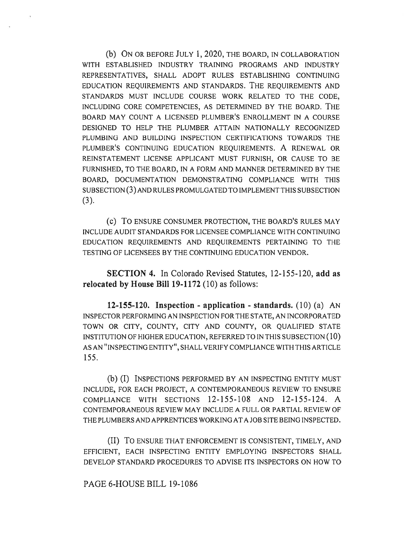(b) ON OR BEFORE JULY 1, 2020, THE BOARD, IN COLLABORATION WITH ESTABLISHED INDUSTRY TRAINING PROGRAMS AND INDUSTRY REPRESENTATIVES, SHALL ADOPT RULES ESTABLISHING CONTINUING EDUCATION REQUIREMENTS AND STANDARDS. THE REQUIREMENTS AND STANDARDS MUST INCLUDE COURSE WORK RELATED TO THE CODE, INCLUDING CORE COMPETENCIES, AS DETERMINED BY THE BOARD. THE BOARD MAY COUNT A LICENSED PLUMBER'S ENROLLMENT IN A COURSE DESIGNED TO HELP THE PLUMBER ATTAIN NATIONALLY RECOGNIZED PLUMBING AND BUILDING INSPECTION CERTIFICATIONS TOWARDS THE PLUMBER'S CONTINUING EDUCATION REQUIREMENTS. A RENEWAL OR REINSTATEMENT LICENSE APPLICANT MUST FURNISH, OR CAUSE TO BE FURNISHED, TO THE BOARD, IN A FORM AND MANNER DETERMINED BY THE BOARD, DOCUMENTATION DEMONSTRATING COMPLIANCE WITH THIS SUBSECTION (3) AND RULES PROMULGATED TO IMPLEMENT THIS SUBSECTION (3).

(e) To ENSURE CONSUMER PROTECTION, THE BOARD'S RULES MAY INCLUDE AUDIT STANDARDS FOR LICENSEE COMPLIANCE WITH CONTINUING EDUCATION REQUIREMENTS AND REQUIREMENTS PERTAINING TO THE TESTING OF LICENSEES BY THE CONTINUING EDUCATION VENDOR.

**SECTION 4.** In Colorado Revised Statutes, 12-155-120, **add as relocated by House Bill 19-1172** (10) as follows:

**12-155-120. Inspection - application - standards.** (10) (a) AN INSPECTOR PERFORMING AN INSPECTION FOR THE STATE, AN INCORPORATED TOWN OR CITY, COUNTY, CITY AND COUNTY, OR QUALIFIED STATE INSTITUTION OF HIGHER EDUCATION, REFERRED TO IN THIS SUBSECTION (10) AS AN "INSPECTING ENTITY", SHALL VERIFY COMPLIANCE WITH THIS ARTICLE 155.

(b) (I) INSPECTIONS PERFORMED BY AN INSPECTING ENTITY MUST INCLUDE, FOR EACH PROJECT, A CONTEMPORANEOUS REVIEW TO ENSURE COMPLIANCE WITH SECTIONS 12-155-108 AND 12-155-124. A CONTEMPORANEOUS REVIEW MAY INCLUDE A FULL OR PARTIAL REVIEW OF THE PLUMBERS AND APPRENTICES WORKING AT A JOB SITE BEING INSPECTED.

(II) To ENSURE THAT ENFORCEMENT IS CONSISTENT, TIMELY, AND EFFICIENT, EACH INSPECTING ENTITY EMPLOYING INSPECTORS SHALL DEVELOP STANDARD PROCEDURES TO ADVISE ITS INSPECTORS ON HOW TO

PAGE 6-HOUSE BILL 19-1086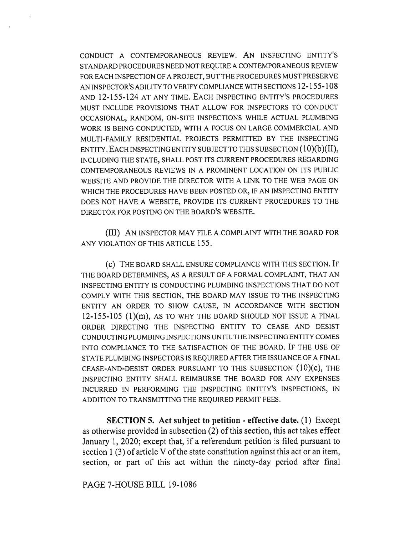CONDUCT A CONTEMPORANEOUS REVIEW. ANINSPECTING ENTITY'S STANDARD PROCEDURES NEED NOT REQUIRE A CONTEMPORANEOUS REVIEW FOR EACH INSPECTION OF A PROJECT, BUT THE PROCEDURES MUST PRESERVE AN INSPECTOR'S ABILITY TO VERIFY COMPLIANCE WITH SECTIONS 12-155-108 AND 12-155-124 AT ANY TIME. EACH INSPECTING ENTITY'S PROCEDURES MUST INCLUDE PROVISIONS THAT ALLOW FOR INSPECTORS TO CONDUCT OCCASIONAL, RANDOM, ON-SITE INSPECTIONS WHILE ACTUAL PLUMBING WORK IS BEING CONDUCTED, WITH A FOCUS ON LARGE COMMERCIAL AND MULTI-FAMILY RESIDENTIAL PROJECTS PERMITTED BY THE INSPECTING ENTITY. EACH INSPECTING ENTITY SUBJECT TO THIS SUBSECTION (10)(b)(II), INCLUDING THE STATE, SHALL POST ITS CURRENT PROCEDURES REGARDING CONTEMPORANEOUS REVIEWS IN A PROMINENT LOCATION ON ITS PUBLIC WEBSITE AND PROVIDE THE DIRECTOR WITH A LINK TO THE WEB PAGE ON WHICH THE PROCEDURES HAVE BEEN POSTED OR, IF AN INSPECTING ENTITY DOES NOT HAVE A WEBSITE, PROVIDE ITS CURRENT PROCEDURES TO THE DIRECTOR FOR POSTING ON THE BOARD'S WEBSITE.

(III) AN INSPECTOR MAY FILE A COMPLAINT WITH THE BOARD FOR ANY VIOLATION OF THIS ARTICLE 155.

(c) THE BOARD SHALL ENSURE COMPLIANCE WITH THIS SECTION. IF THE BOARD DETERMINES, AS A RESULT OF A FORMAL COMPLAINT, THAT AN INSPECTING ENTITY IS CONDUCTING PLUMBING INSPECTIONS THAT DO NOT COMPLY WITH THIS SECTION, THE BOARD MAY ISSUE TO THE INSPECTING ENTITY AN ORDER TO SHOW CAUSE, IN ACCORDANCE WITH SECTION  $12-155-105$  (1)(m), AS TO WHY THE BOARD SHOULD NOT ISSUE A FINAL ORDER DIRECTING THE INSPECTING ENTITY TO CEASE AND DESIST CONDUCTING PLUMBING INSPECTIONS UNTIL THE INSPECTING ENTITY COMES INTO COMPLIANCE TO THE SATISFACTION OF THE BOARD. IF THE USE OF STATE PLUMBING INSPECTORS IS REQUIRED AFTER THE ISSUANCE OF A FINAL CEASE-AND-DESIST ORDER PURSUANT TO THIS SUBSECTION (10)(C), THE INSPECTING ENTITY SHALL REIMBURSE THE BOARD FOR ANY EXPENSES INCURRED IN PERFORMING THE INSPECTING ENTITY'S INSPECTIONS, IN ADDITION TO TRANSMITTING THE REQUIRED PERMIT FEES.

**SECTION 5. Act subject to petition - effective date.** (1) Except as otherwise provided in subsection (2) of this section, this act takes effect January 1, 2020; except that, if a referendum petition is filed pursuant to section 1 (3) of article V of the state constitution against this act or an item, section, or part of this act within the ninety-day period after final

PAGE 7-HOUSE BILL 19-1086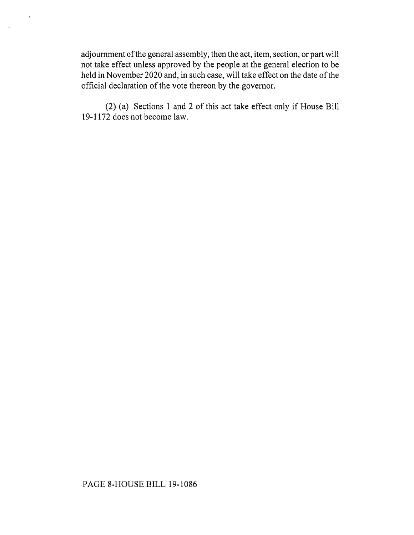adjournment of the general assembly, then the act, item, section, or part will not take effect unless approved by the people at the general election to be held in November 2020 and, in such case, will take effect on the date of the official declaration of the vote thereon by the governor.

 $\bar{\Lambda}$ 

(2) (a) Sections 1 and 2 of this act take effect only if House Bill 19-1172 does not become law.

## PAGE 8-HOUSE BILL 19-1086